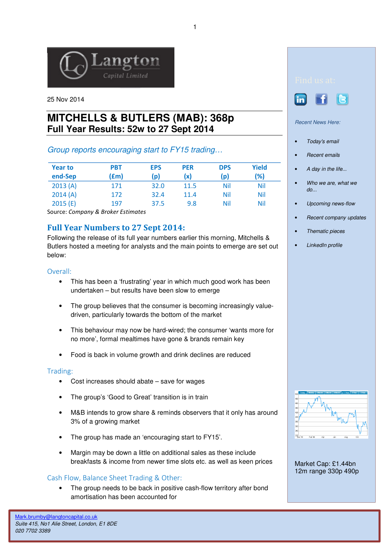

25 Nov 2014

# **MITCHELLS & BUTLERS (MAB): 368p Full Year Results: 52w to 27 Sept 2014**

## Group reports encouraging start to FY15 trading…

| <b>Year to</b><br>end-Sep | <b>PBT</b><br>f(m) | <b>EPS</b><br>(p) | <b>PER</b><br>(x) | <b>DPS</b><br>(p) | Yield<br>(%) |
|---------------------------|--------------------|-------------------|-------------------|-------------------|--------------|
| 2013(A)                   | 171                | 32.0              | 11.5              | Nil               | Nil          |
| 2014(A)                   | 172                | 32.4              | 11.4              | Nil               | <b>Nil</b>   |
| 2015(E)                   | 197                | 37.5              | 9.8               | Nil               | <b>Nil</b>   |

Source: Company & Broker Estimates

## Full Year Numbers to 27 Sept 2014:

Following the release of its full year numbers earlier this morning, Mitchells & Butlers hosted a meeting for analysts and the main points to emerge are set out below:

#### Overall:

- This has been a 'frustrating' year in which much good work has been undertaken – but results have been slow to emerge
- The group believes that the consumer is becoming increasingly valuedriven, particularly towards the bottom of the market
- This behaviour may now be hard-wired; the consumer 'wants more for no more', formal mealtimes have gone & brands remain key
- Food is back in volume growth and drink declines are reduced

#### Trading:

- Cost increases should abate  $-$  save for wages
- The group's 'Good to Great' transition is in train
- M&B intends to grow share & reminds observers that it only has around 3% of a growing market
- The group has made an 'encouraging start to FY15'.
- Margin may be down a little on additional sales as these include breakfasts & income from newer time slots etc. as well as keen prices

### Cash Flow, Balance Sheet Trading & Other:

• The group needs to be back in positive cash-flow territory after bond amortisation has been accounted for





Recent News Here:

- Today's email
- Recent emails
- A day in the life...
- Who we are, what we do...
- Upcoming news-flow
- Recent company updates
- Thematic pieces
- LinkedIn profile



Market Cap: £1.44bn 12m range 330p 490p